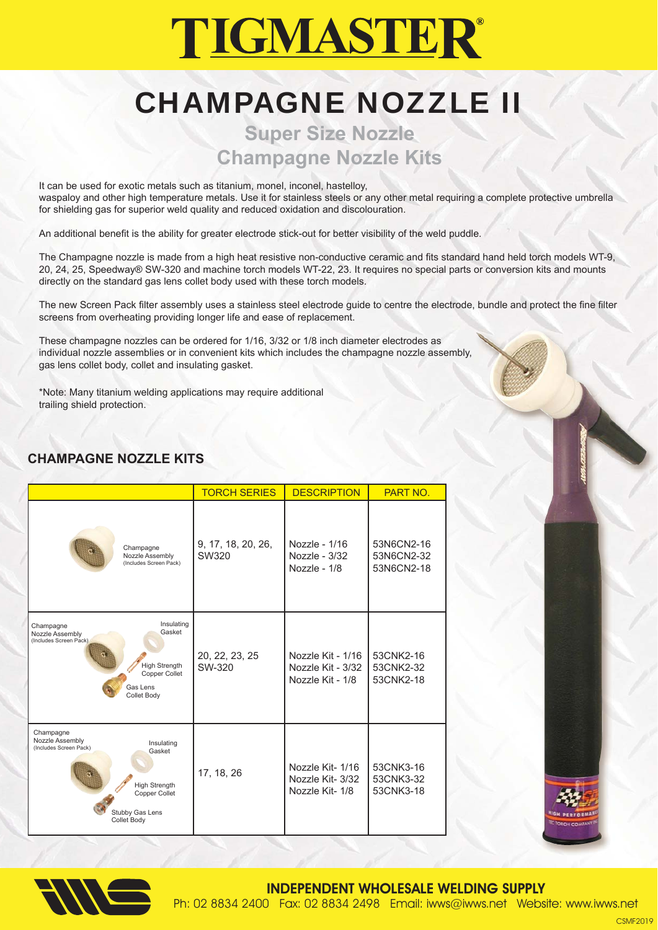# **TIGMASTER®**

## CHAMPAGNE NOZZLE II

### **Super Size Nozzle Champagne Nozzle Kits**

It can be used for exotic metals such as titanium, monel, inconel, hastelloy, waspaloy and other high temperature metals. Use it for stainless steels or any other metal requiring a complete protective umbrella for shielding gas for superior weld quality and reduced oxidation and discolouration.

An additional benefit is the ability for greater electrode stick-out for better visibility of the weld puddle.

The Champagne nozzle is made from a high heat resistive non-conductive ceramic and fits standard hand held torch models WT-9, 20, 24, 25, Speedway® SW-320 and machine torch models WT-22, 23. It requires no special parts or conversion kits and mounts directly on the standard gas lens collet body used with these torch models.

The new Screen Pack filter assembly uses a stainless steel electrode guide to centre the electrode, bundle and protect the fine filter screens from overheating providing longer life and ease of replacement.

These champagne nozzles can be ordered for 1/16, 3/32 or 1/8 inch diameter electrodes as individual nozzle assemblies or in convenient kits which includes the champagne nozzle assembly, gas lens collet body, collet and insulating gasket.

\*Note: Many titanium welding applications may require additional trailing shield protection.

#### **CHAMPAGNE NOZZLE KITS**

|                                                                                                                                                                  | <b>TORCH SERIES</b>         | <b>DESCRIPTION</b>                                         | PART NO.                               |
|------------------------------------------------------------------------------------------------------------------------------------------------------------------|-----------------------------|------------------------------------------------------------|----------------------------------------|
| Champagne<br>Nozzle Assembly<br>(Includes Screen Pack)                                                                                                           | 9, 17, 18, 20, 26,<br>SW320 | Nozzle - 1/16<br>Nozzle - 3/32<br>Nozzle - 1/8             | 53N6CN2-16<br>53N6CN2-32<br>53N6CN2-18 |
| Insulating<br>Champagne<br>Gasket<br>Nozzle Assembly<br>(Includes Screen Pack)<br><b>High Strength</b><br>Copper Collet<br>Gas Lens<br>Collet Body               | 20, 22, 23, 25<br>SW-320    | Nozzle Kit - 1/16<br>Nozzle Kit - 3/32<br>Nozzle Kit - 1/8 | 53CNK2-16<br>53CNK2-32<br>53CNK2-18    |
| Champagne<br>Nozzle Assembly<br>Insulating<br>(Includes Screen Pack)<br>Gasket<br><b>High Strength</b><br>Copper Collet<br>Stubby Gas Lens<br><b>Collet Body</b> | 17, 18, 26                  | Nozzle Kit-1/16<br>Nozzle Kit- 3/32<br>Nozzle Kit-1/8      | 53CNK3-16<br>53CNK3-32<br>53CNK3-18    |







INDEPENDENT WHOLESALE WELDING SUPPLY Ph: 02 8834 2400 Fax: 02 8834 2498 Email: iwws@iwws.net Website: www.iwws.net